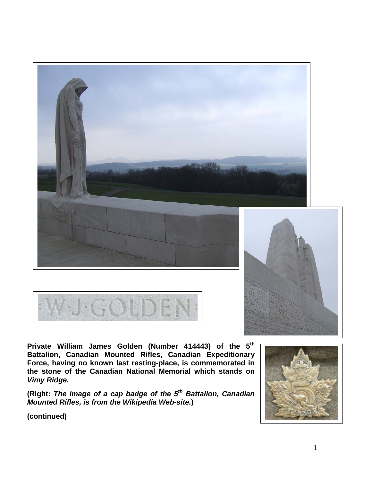





**Private William James Golden (Number 414443) of the 5th Battalion, Canadian Mounted Rifles, Canadian Expeditionary Force, having no known last resting-place, is commemorated in the stone of the Canadian National Memorial which stands on**  *Vimy Ridge***.** 

**(Right:** *The image of a cap badge of the 5th Battalion, Canadian Mounted Rifles, is from the Wikipedia Web-site.***)**

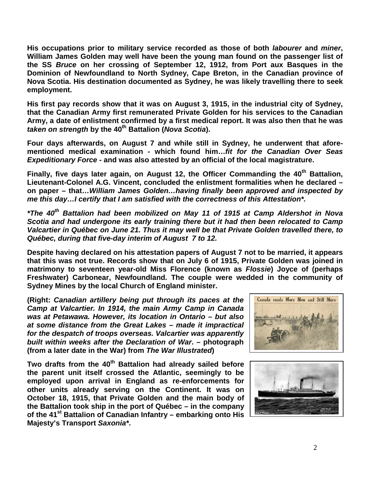**His occupations prior to military service recorded as those of both** *labourer* **and** *miner***, William James Golden may well have been the young man found on the passenger list of the SS** *Bruce* **on her crossing of September 12, 1912, from Port aux Basques in the Dominion of Newfoundland to North Sydney, Cape Breton, in the Canadian province of Nova Scotia. His destination documented as Sydney, he was likely travelling there to seek employment.**

**His first pay records show that it was on August 3, 1915, in the industrial city of Sydney, that the Canadian Army first remunerated Private Golden for his services to the Canadian Army, a date of enlistment confirmed by a first medical report. It was also then that he was**  *taken on strength* **by the 40th Battalion (***Nova Scotia***).**

**Four days afterwards, on August 7 and while still in Sydney, he underwent that aforementioned medical examination - which found him…***fit for the Canadian Over Seas Expeditionary Force* **- and was also attested by an official of the local magistrature.** 

**Finally, five days later again, on August 12, the Officer Commanding the 40th Battalion, Lieutenant-Colonel A.G. Vincent, concluded the enlistment formalities when he declared – on paper – that…***William James Golden…having finally been approved and inspected by me this day…I certify that I am satisfied with the correctness of this Attestation\*.*

*\*The 40th Battalion had been mobilized on May 11 of 1915 at Camp Aldershot in Nova Scotia and had undergone its early training there but it had then been relocated to Camp Valcartier in Québec on June 21. Thus it may well be that Private Golden travelled there, to Québec, during that five-day interim of August 7 to 12.*

**Despite having declared on his attestation papers of August 7 not to be married, it appears that this was not true. Records show that on July 6 of 1915, Private Golden was joined in matrimony to seventeen year-old Miss Florence (known as** *Flossie***) Joyce of (perhaps Freshwater) Carbonear, Newfoundland. The couple were wedded in the community of Sydney Mines by the local Church of England minister.**

**(Right:** *Canadian artillery being put through its paces at the Camp at Valcartier. In 1914, the main Army Camp in Canada was at Petawawa. However, its location in Ontario – but also at some distance from the Great Lakes – made it impractical for the despatch of troops overseas. Valcartier was apparently built within weeks after the Declaration of War***. – photograph (from a later date in the War) from** *The War Illustrated***)** 

**Two drafts from the 40th Battalion had already sailed before the parent unit itself crossed the Atlantic, seemingly to be employed upon arrival in England as re-enforcements for other units already serving on the Continent. It was on October 18, 1915, that Private Golden and the main body of the Battalion took ship in the port of Québec – in the company of the 41st Battalion of Canadian Infantry – embarking onto His Majesty's Transport** *Saxonia\****.**



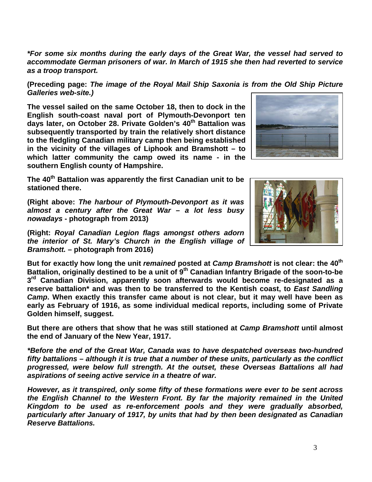*\*For some six months during the early days of the Great War, the vessel had served to accommodate German prisoners of war. In March of 1915 she then had reverted to service as a troop transport.* 

**(Preceding page:** *The image of the Royal Mail Ship Saxonia is from the Old Ship Picture Galleries web-site.)*

**The vessel sailed on the same October 18, then to dock in the English south-coast naval port of Plymouth-Devonport ten days later, on October 28. Private Golden's 40th Battalion was subsequently transported by train the relatively short distance to the fledgling Canadian military camp then being established in the vicinity of the villages of Liphook and Bramshott – to which latter community the camp owed its name - in the southern English county of Hampshire.** 

**The 40th Battalion was apparently the first Canadian unit to be stationed there.** 

**(Right above:** *The harbour of Plymouth-Devonport as it was almost a century after the Great War – a lot less busy nowadays* **- photograph from 2013)**

**(Right:** *Royal Canadian Legion flags amongst others adorn the interior of St. Mary's Church in the English village of Bramshott.* **– photograph from 2016)**

**But for exactly how long the unit** *remained* **posted at** *Camp Bramshott* **is not clear: the 40th Battalion, originally destined to be a unit of 9th Canadian Infantry Brigade of the soon-to-be 3rd Canadian Division, apparently soon afterwards would become re-designated as a reserve battalion\* and was then to be transferred to the Kentish coast, to** *East Sandling Camp***. When exactly this transfer came about is not clear, but it may well have been as early as February of 1916, as some individual medical reports, including some of Private Golden himself, suggest.**

**But there are others that show that he was still stationed at** *Camp Bramshott* **until almost the end of January of the New Year, 1917.**

*\*Before the end of the Great War, Canada was to have despatched overseas two-hundred fifty battalions – although it is true that a number of these units, particularly as the conflict progressed, were below full strength. At the outset, these Overseas Battalions all had aspirations of seeing active service in a theatre of war.*

*However, as it transpired, only some fifty of these formations were ever to be sent across the English Channel to the Western Front. By far the majority remained in the United Kingdom to be used as re-enforcement pools and they were gradually absorbed, particularly after January of 1917, by units that had by then been designated as Canadian Reserve Battalions.*

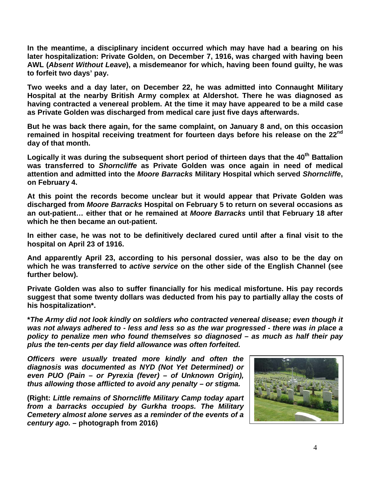**In the meantime, a disciplinary incident occurred which may have had a bearing on his later hospitalization: Private Golden, on December 7, 1916, was charged with having been AWL (***Absent Without Leave***), a misdemeanor for which, having been found guilty, he was to forfeit two days' pay.**

**Two weeks and a day later, on December 22, he was admitted into Connaught Military Hospital at the nearby British Army complex at Aldershot. There he was diagnosed as having contracted a venereal problem. At the time it may have appeared to be a mild case as Private Golden was discharged from medical care just five days afterwards.**

**But he was back there again, for the same complaint, on January 8 and, on this occasion remained in hospital receiving treatment for fourteen days before his release on the 22nd day of that month.**

Logically it was during the subsequent short period of thirteen days that the 40<sup>th</sup> Battalion **was transferred to** *Shorncliffe* **as Private Golden was once again in need of medical attention and admitted into the** *Moore Barracks* **Military Hospital which served** *Shorncliffe***, on February 4.**

**At this point the records become unclear but it would appear that Private Golden was discharged from** *Moore Barracks* **Hospital on February 5 to return on several occasions as an out-patient… either that or he remained at** *Moore Barracks* **until that February 18 after which he then became an out-patient.** 

**In either case, he was not to be definitively declared cured until after a final visit to the hospital on April 23 of 1916.**

**And apparently April 23, according to his personal dossier, was also to be the day on which he was transferred to** *active service* **on the other side of the English Channel (see further below).**

**Private Golden was also to suffer financially for his medical misfortune. His pay records suggest that some twenty dollars was deducted from his pay to partially allay the costs of his hospitalization\*.**

**\****The Army did not look kindly on soldiers who contracted venereal disease; even though it was not always adhered to - less and less so as the war progressed - there was in place a policy to penalize men who found themselves so diagnosed – as much as half their pay plus the ten-cents per day field allowance was often forfeited.*

*Officers were usually treated more kindly and often the diagnosis was documented as NYD (Not Yet Determined) or even PUO (Pain – or Pyrexia (fever) – of Unknown Origin), thus allowing those afflicted to avoid any penalty – or stigma.*

**(Right:** *Little remains of Shorncliffe Military Camp today apart from a barracks occupied by Gurkha troops. The Military Cemetery almost alone serves as a reminder of the events of a century ago.* **– photograph from 2016)**

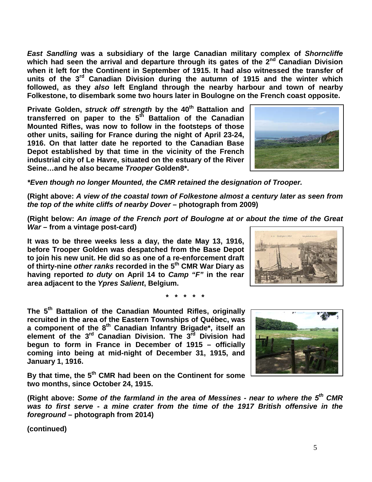5

*East Sandling* **was a subsidiary of the large Canadian military complex of** *Shorncliffe* which had seen the arrival and departure through its gates of the 2<sup>nd</sup> Canadian Division **when it left for the Continent in September of 1915. It had also witnessed the transfer of units of the 3rd Canadian Division during the autumn of 1915 and the winter which followed, as they** *also* **left England through the nearby harbour and town of nearby Folkestone, to disembark some two hours later in Boulogne on the French coast opposite.**

**Private Golden,** *struck off strength* **by the 40th Battalion and transferred on paper to the 5th Battalion of the Canadian Mounted Rifles, was now to follow in the footsteps of those other units, sailing for France during the night of April 23-24, 1916. On that latter date he reported to the Canadian Base Depot established by that time in the vicinity of the French industrial city of Le Havre, situated on the estuary of the River Seine…and he also became** *Trooper* **Golden8\*.**

*\*Even though no longer Mounted, the CMR retained the designation of Trooper.*

**(Right above:** *A view of the coastal town of Folkestone almost a century later as seen from the top of the white cliffs of nearby Dover* **– photograph from 2009)**

**(Right below:** *An image of the French port of Boulogne at or about the time of the Great War* **– from a vintage post-card)**

**It was to be three weeks less a day, the date May 13, 1916, before Trooper Golden was despatched from the Base Depot to join his new unit. He did so as one of a re-enforcement draft of thirty-nine** *other ranks* **recorded in the 5th CMR War Diary as having reported** *to duty* **on April 14 to** *Camp "F"* **in the rear area adjacent to the** *Ypres Salient***, Belgium.**

**\* \* \* \* \***

**The 5th Battalion of the Canadian Mounted Rifles, originally recruited in the area of the Eastern Townships of Québec, was a component of the 8th Canadian Infantry Brigade\*, itself an element of the 3rd Canadian Division. The 3rd Division had begun to form in France in December of 1915 – officially coming into being at mid-night of December 31, 1915, and January 1, 1916.** 

**By that time, the 5th CMR had been on the Continent for some two months, since October 24, 1915.**

**(Right above:** *Some of the farmland in the area of Messines - near to where the 5th CMR was to first serve - a mine crater from the time of the 1917 British offensive in the foreground* **– photograph from 2014)**





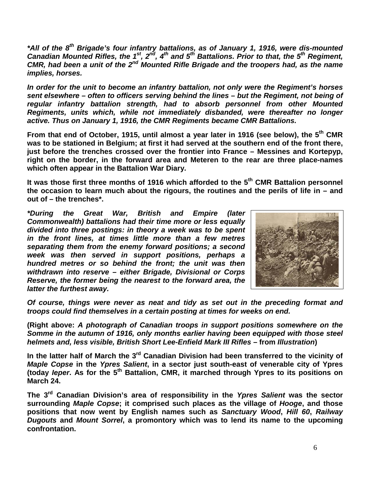*\*All of the 8th Brigade's four infantry battalions, as of January 1, 1916, were dis-mounted Canadian Mounted Rifles, the 1st, 2nd, 4th and 5th Battalions. Prior to that, the 5th Regiment, CMR, had been a unit of the 2nd Mounted Rifle Brigade and the troopers had, as the name implies, horses.* 

*In order for the unit to become an infantry battalion, not only were the Regiment's horses sent elsewhere – often to officers serving behind the lines – but the Regiment, not being of regular infantry battalion strength, had to absorb personnel from other Mounted Regiments, units which, while not immediately disbanded, were thereafter no longer active. Thus on January 1, 1916, the CMR Regiments became CMR Battalions.*

**From that end of October, 1915, until almost a year later in 1916 (see below), the 5th CMR was to be stationed in Belgium; at first it had served at the southern end of the front there, just before the trenches crossed over the frontier into France – Messines and Kortepyp, right on the border, in the forward area and Meteren to the rear are three place-names which often appear in the Battalion War Diary.** 

**It was those first three months of 1916 which afforded to the 5th CMR Battalion personnel the occasion to learn much about the rigours, the routines and the perils of life in – and out of – the trenches\*.**

*\*During the Great War, British and Empire (later Commonwealth) battalions had their time more or less equally divided into three postings: in theory a week was to be spent in the front lines, at times little more than a few metres separating them from the enemy forward positions; a second week was then served in support positions, perhaps a hundred metres or so behind the front; the unit was then withdrawn into reserve – either Brigade, Divisional or Corps Reserve, the former being the nearest to the forward area, the latter the furthest away.* 



*Of course, things were never as neat and tidy as set out in the preceding format and troops could find themselves in a certain posting at times for weeks on end.*

**(Right above:** *A photograph of Canadian troops in support positions somewhere on the Somme in the autumn of 1916, only months earlier having been equipped with those steel helmets and, less visible, British Short Lee-Enfield Mark III Rifles* **– from** *Illustration***)**

In the latter half of March the 3<sup>rd</sup> Canadian Division had been transferred to the vicinity of *Maple Copse* **in the** *Ypres Salient***, in a sector just south-east of venerable city of Ypres (today** *Ieper***. As for the 5th Battalion, CMR, it marched through Ypres to its positions on March 24.**

**The 3rd Canadian Division's area of responsibility in the** *Ypres Salient* **was the sector surrounding** *Maple Copse***; it comprised such places as the village of** *Hooge***, and those positions that now went by English names such as** *Sanctuary Wood***,** *Hill 60***,** *Railway Dugouts* **and** *Mount Sorrel***, a promontory which was to lend its name to the upcoming confrontation.**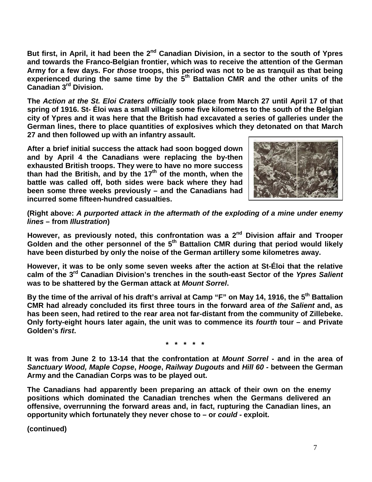But first, in April, it had been the 2<sup>nd</sup> Canadian Division, in a sector to the south of Ypres **and towards the Franco-Belgian frontier, which was to receive the attention of the German Army for a few days. For** *those* **troops, this period was not to be as tranquil as that being experienced during the same time by the 5th Battalion CMR and the other units of the Canadian 3rd Division.**

**The** *Action at the St. Eloi Craters officially* **took place from March 27 until April 17 of that spring of 1916. St- Éloi was a small village some five kilometres to the south of the Belgian city of Ypres and it was here that the British had excavated a series of galleries under the German lines, there to place quantities of explosives which they detonated on that March 27 and then followed up with an infantry assault.** 

**After a brief initial success the attack had soon bogged down and by April 4 the Canadians were replacing the by-then exhausted British troops. They were to have no more success than had the British, and by the 17th of the month, when the battle was called off, both sides were back where they had been some three weeks previously – and the Canadians had incurred some fifteen-hundred casualties.**



**(Right above:** *A purported attack in the aftermath of the exploding of a mine under enemy lines* **– from** *Illustration***)**

**However, as previously noted, this confrontation was a 2nd Division affair and Trooper**  Golden and the other personnel of the 5<sup>th</sup> Battalion CMR during that period would likely **have been disturbed by only the noise of the German artillery some kilometres away.**

**However, it was to be only some seven weeks after the action at St-Éloi that the relative calm of the 3rd Canadian Division's trenches in the south-east Sector of the** *Ypres Salient* **was to be shattered by the German attack at** *Mount Sorrel***.**

**By the time of the arrival of his draft's arrival at Camp "F" on May 14, 1916, the 5th Battalion CMR had already concluded its first three tours in the forward area of** *the Salient* **and, as has been seen, had retired to the rear area not far-distant from the community of Zillebeke. Only forty-eight hours later again, the unit was to commence its** *fourth* **tour – and Private Golden's** *first***.**

**\* \* \* \* \***

**It was from June 2 to 13-14 that the confrontation at** *Mount Sorrel* **- and in the area of**  *Sanctuary Wood, Maple Copse***,** *Hooge***,** *Railway Dugouts* **and** *Hill 60* **- between the German Army and the Canadian Corps was to be played out.** 

**The Canadians had apparently been preparing an attack of their own on the enemy positions which dominated the Canadian trenches when the Germans delivered an offensive, overrunning the forward areas and, in fact, rupturing the Canadian lines, an opportunity which fortunately they never chose to – or** *could* **- exploit.**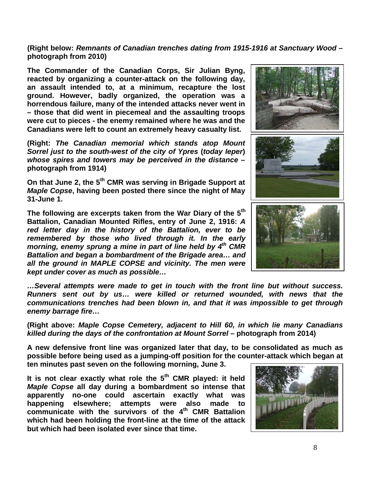**(Right below:** *Remnants of Canadian trenches dating from 1915-1916 at Sanctuary Wood* **– photograph from 2010)**

**The Commander of the Canadian Corps, Sir Julian Byng, reacted by organizing a counter-attack on the following day, an assault intended to, at a minimum, recapture the lost ground. However, badly organized, the operation was a horrendous failure, many of the intended attacks never went in – those that did went in piecemeal and the assaulting troops were cut to pieces - the enemy remained where he was and the Canadians were left to count an extremely heavy casualty list.**

**(Right:** *The Canadian memorial which stands atop Mount Sorrel just to the south-west of the city of Ypres* **(***today Ieper***)** *whose spires and towers may be perceived in the distance* **– photograph from 1914)**

**On that June 2, the 5th CMR was serving in Brigade Support at**  *Maple Copse***, having been posted there since the night of May 31-June 1.**

**The following are excerpts taken from the War Diary of the 5th Battalion, Canadian Mounted Rifles, entry of June 2, 1916:** *A red letter day in the history of the Battalion, ever to be remembered by those who lived through it. In the early morning, enemy sprung a mine in part of line held by 4th CMR Battalion and began a bombardment of the Brigade area… and all the ground in MAPLE COPSE and vicinity. The men were kept under cover as much as possible…*



**(Right above:** *Maple Copse Cemetery, adjacent to Hill 60, in which lie many Canadians killed during the days of the confrontation at Mount Sorrel* **– photograph from 2014)**

**A new defensive front line was organized later that day, to be consolidated as much as possible before being used as a jumping-off position for the counter-attack which began at ten minutes past seven on the following morning, June 3.** 

**It is not clear exactly what role the 5th CMR played: it held**  *Maple Copse* **all day during a bombardment so intense that apparently no-one could ascertain exactly what was happening elsewhere; attempts were also made to communicate with the survivors of the 4th CMR Battalion which had been holding the front-line at the time of the attack but which had been isolated ever since that time.**



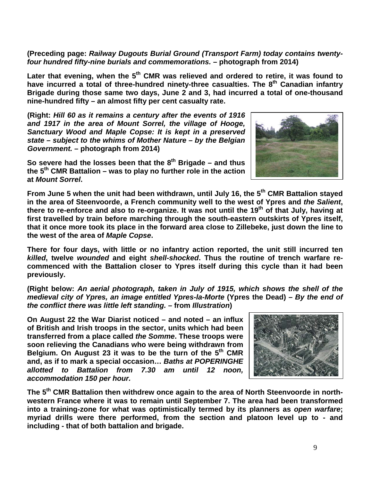**(Preceding page:** *Railway Dugouts Burial Ground (Transport Farm) today contains twentyfour hundred fifty-nine burials and commemorations.* **– photograph from 2014)**

Later that evening, when the 5<sup>th</sup> CMR was relieved and ordered to retire, it was found to have incurred a total of three-hundred ninety-three casualties. The 8<sup>th</sup> Canadian infantrv **Brigade during those same two days, June 2 and 3, had incurred a total of one-thousand nine-hundred fifty – an almost fifty per cent casualty rate.**

**(Right:** *Hill 60 as it remains a century after the events of 1916 and 1917 in the area of Mount Sorrel, the village of Hooge, Sanctuary Wood and Maple Copse: It is kept in a preserved state – subject to the whims of Mother Nature – by the Belgian Government.* **– photograph from 2014)**

**So severe had the losses been that the 8th Brigade – and thus the 5th CMR Battalion – was to play no further role in the action at** *Mount Sorrel***.**



**From June 5 when the unit had been withdrawn, until July 16, the 5th CMR Battalion stayed in the area of Steenvoorde, a French community well to the west of Ypres and** *the Salient***, there to re-enforce and also to re-organize. It was not until the 19th of that July, having at first travelled by train before marching through the south-eastern outskirts of Ypres itself, that it once more took its place in the forward area close to Zillebeke, just down the line to the west of the area of** *Maple Copse***.** 

**There for four days, with little or no infantry action reported, the unit still incurred ten**  *killed***, twelve** *wounded* **and eight** *shell-shocked***. Thus the routine of trench warfare recommenced with the Battalion closer to Ypres itself during this cycle than it had been previously.** 

**(Right below:** *An aerial photograph, taken in July of 1915, which shows the shell of the medieval city of Ypres, an image entitled Ypres-la-Morte* **(Ypres the Dead)** *– By the end of the conflict there was little left standing. –* **from** *Illustration***)**

**On August 22 the War Diarist noticed – and noted – an influx of British and Irish troops in the sector, units which had been transferred from a place called** *the Somme***. These troops were soon relieving the Canadians who were being withdrawn from Belgium. On August 23 it was to be the turn of the 5th CMR and, as if to mark a special occasion…** *Baths at POPERINGHE allotted to Battalion from 7.30 am until 12 noon, accommodation 150 per hour.*



**The 5th CMR Battalion then withdrew once again to the area of North Steenvoorde in northwestern France where it was to remain until September 7. The area had been transformed into a training-zone for what was optimistically termed by its planners as** *open warfare***; myriad drills were there performed, from the section and platoon level up to - and including - that of both battalion and brigade.**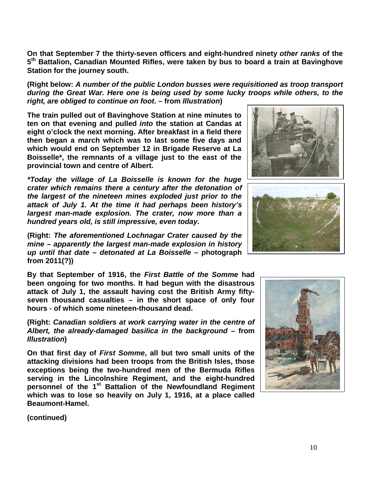**On that September 7 the thirty-seven officers and eight-hundred ninety** *other ranks* **of the 5th Battalion, Canadian Mounted Rifles, were taken by bus to board a train at Bavinghove Station for the journey south.**

**(Right below:** *A number of the public London busses were requisitioned as troop transport during the Great War. Here one is being used by some lucky troops while others, to the right, are obliged to continue on foot***. – from** *Illustration***)**

**The train pulled out of Bavinghove Station at nine minutes to ten on that evening and pulled** *into* **the station at Candas at eight o'clock the next morning. After breakfast in a field there then began a march which was to last some five days and which would end on September 12 in Brigade Reserve at La Boisselle\*, the remnants of a village just to the east of the provincial town and centre of Albert.**

*\*Today the village of La Boisselle is known for the huge crater which remains there a century after the detonation of the largest of the nineteen mines exploded just prior to the attack of July 1. At the time it had perhaps been history's largest man-made explosion. The crater, now more than a hundred years old, is still impressive, even today.*

**(Right:** *The aforementioned Lochnagar Crater caused by the mine – apparently the largest man-made explosion in history up until that date – detonated at La Boisselle* **– photograph from 2011(?))**

**By that September of 1916, the** *First Battle of the Somme* **had been ongoing for two months. It had begun with the disastrous attack of July 1, the assault having cost the British Army fiftyseven thousand casualties – in the short space of only four hours - of which some nineteen-thousand dead.** 

**(Right:** *Canadian soldiers at work carrying water in the centre of Albert, the already-damaged basilica in the background* **– from**  *Illustration***)**

**On that first day of** *First Somme***, all but two small units of the attacking divisions had been troops from the British Isles, those exceptions being the two-hundred men of the Bermuda Rifles serving in the Lincolnshire Regiment, and the eight-hundred personnel of the 1st Battalion of the Newfoundland Regiment which was to lose so heavily on July 1, 1916, at a place called Beaumont-Hamel.**







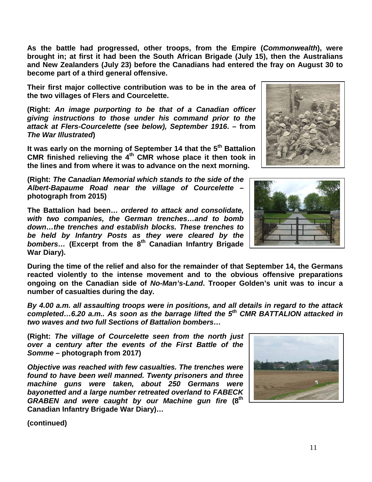**As the battle had progressed, other troops, from the Empire (***Commonwealth***), were brought in; at first it had been the South African Brigade (July 15), then the Australians and New Zealanders (July 23) before the Canadians had entered the fray on August 30 to become part of a third general offensive.** 

**Their first major collective contribution was to be in the area of the two villages of Flers and Courcelette.**

**(Right:** *An image purporting to be that of a Canadian officer giving instructions to those under his command prior to the attack at Flers-Courcelette (see below), September 1916***. – from**  *The War Illustrated***)**

**It was early on the morning of September 14 that the 5th Battalion CMR finished relieving the 4th CMR whose place it then took in the lines and from where it was to advance on the next morning.** 

**(Right:** *The Canadian Memorial which stands to the side of the Albert-Bapaume Road near the village of Courcelette* **– photograph from 2015)**

**The Battalion had been…** *ordered to attack and consolidate, with two companies, the German trenches…and to bomb down…the trenches and establish blocks. These trenches to be held by Infantry Posts as they were cleared by the bombers…* **(Excerpt from the 8th Canadian Infantry Brigade War Diary).** 

**During the time of the relief and also for the remainder of that September 14, the Germans reacted violently to the intense movement and to the obvious offensive preparations ongoing on the Canadian side of** *No-Man's-Land***. Trooper Golden's unit was to incur a number of casualties during the day.** 

*By 4.00 a.m. all assaulting troops were in positions, and all details in regard to the attack completed…6.20 a.m.. As soon as the barrage lifted the 5th CMR BATTALION attacked in two waves and two full Sections of Battalion bombers…*

**(Right:** *The village of Courcelette seen from the north just over a century after the events of the First Battle of the Somme* **– photograph from 2017)**

*Objective was reached with few casualties. The trenches were found to have been well manned. Twenty prisoners and three machine guns were taken, about 250 Germans were bayonetted and a large number retreated overland to FABECK GRABEN and were caught by our Machine gun fire* **(8th Canadian Infantry Brigade War Diary)…**





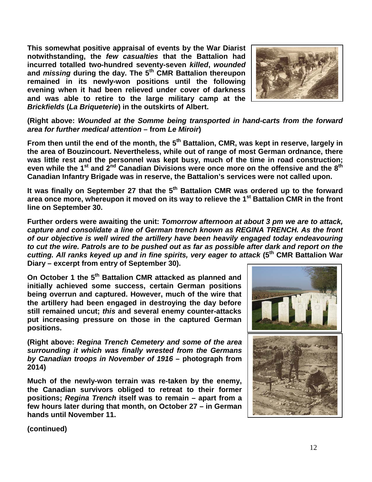**This somewhat positive appraisal of events by the War Diarist notwithstanding, the** *few casualties* **that the Battalion had incurred totalled two-hundred seventy-seven** *killed***,** *wounded* **and** *missing* **during the day. The 5th CMR Battalion thereupon remained in its newly-won positions until the following evening when it had been relieved under cover of darkness and was able to retire to the large military camp at the**  *Brickfields* **(***La Briqueterie***) in the outskirts of Albert.**



**(Right above:** *Wounded at the Somme being transported in hand-carts from the forward area for further medical attention* **– from** *Le Miroir***)**

From then until the end of the month, the 5<sup>th</sup> Battalion, CMR, was kept in reserve, largely in **the area of Bouzincourt. Nevertheless, while out of range of most German ordnance, there was little rest and the personnel was kept busy, much of the time in road construction; even while the 1st and 2nd Canadian Divisions were once more on the offensive and the 8th Canadian Infantry Brigade was in reserve, the Battalion's services were not called upon.**

It was finally on September 27 that the 5<sup>th</sup> Battalion CMR was ordered up to the forward **area once more, whereupon it moved on its way to relieve the 1st Battalion CMR in the front line on September 30.** 

**Further orders were awaiting the unit:** *Tomorrow afternoon at about 3 pm we are to attack, capture and consolidate a line of German trench known as REGINA TRENCH. As the front of our objective is well wired the artillery have been heavily engaged today endeavouring to cut the wire. Patrols are to be pushed out as far as possible after dark and report on the cutting. All ranks keyed up and in fine spirits, very eager to attack* **(5th CMR Battalion War Diary – excerpt from entry of September 30).**

**On October 1 the 5th Battalion CMR attacked as planned and initially achieved some success, certain German positions being overrun and captured. However, much of the wire that the artillery had been engaged in destroying the day before still remained uncut;** *this* **and several enemy counter-attacks put increasing pressure on those in the captured German positions.**

**(Right above:** *Regina Trench Cemetery and some of the area surrounding it which was finally wrested from the Germans by Canadian troops in November of 1916* **– photograph from 2014)**

**Much of the newly-won terrain was re-taken by the enemy, the Canadian survivors obliged to retreat to their former positions;** *Regina Trench* **itself was to remain – apart from a few hours later during that month, on October 27 – in German hands until November 11.**